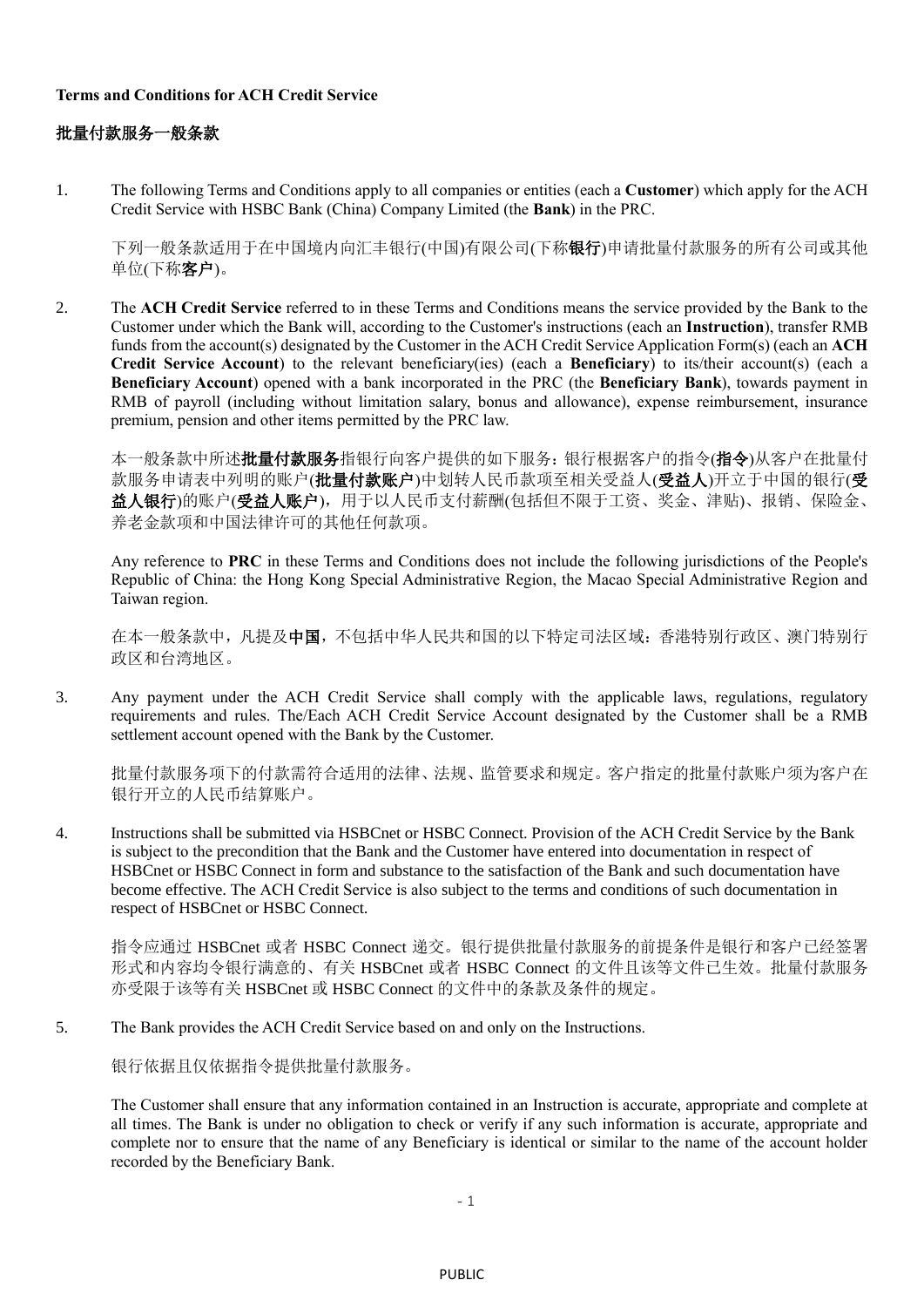## **Terms and Conditions for ACH Credit Service**

## 批量付款服务一般条款

1. The following Terms and Conditions apply to all companies or entities (each a **Customer**) which apply for the ACH Credit Service with HSBC Bank (China) Company Limited (the **Bank**) in the PRC.

下列一般条款适用于在中国境内向汇丰银行(中国)有限公司(下称银行)申请批量付款服务的所有公司或其他 单位(下称客户)。

2. The **ACH Credit Service** referred to in these Terms and Conditions means the service provided by the Bank to the Customer under which the Bank will, according to the Customer's instructions (each an **Instruction**), transfer RMB funds from the account(s) designated by the Customer in the ACH Credit Service Application Form(s) (each an **ACH Credit Service Account**) to the relevant beneficiary(ies) (each a **Beneficiary**) to its/their account(s) (each a **Beneficiary Account**) opened with a bank incorporated in the PRC (the **Beneficiary Bank**), towards payment in RMB of payroll (including without limitation salary, bonus and allowance), expense reimbursement, insurance premium, pension and other items permitted by the PRC law.

本一般条款中所述批量付款服务指银行向客户提供的如下服务:银行根据客户的指令(指令)从客户在批量付 款服务申请表中列明的账户(批量付款账户)中划转人民币款项至相关受益人(受益人)开立于中国的银行(受 益人银行)的账户(受益人账户),用于以人民币支付薪酬(包括但不限于工资、奖金、津贴)、报销、保险金、 养老金款项和中国法律许可的其他任何款项。

Any reference to **PRC** in these Terms and Conditions does not include the following jurisdictions of the People's Republic of China: the Hong Kong Special Administrative Region, the Macao Special Administrative Region and Taiwan region.

在本一般条款中,凡提及中国,不包括中华人民共和国的以下特定司法区域:香港特别行政区、澳门特别行 政区和台湾地区。

3. Any payment under the ACH Credit Service shall comply with the applicable laws, regulations, regulatory requirements and rules. The/Each ACH Credit Service Account designated by the Customer shall be a RMB settlement account opened with the Bank by the Customer.

批量付款服务项下的付款需符合适用的法律、法规、监管要求和规定。客户指定的批量付款账户须为客户在 银行开立的人民币结算账户。

4. Instructions shall be submitted via HSBCnet or HSBC Connect. Provision of the ACH Credit Service by the Bank is subject to the precondition that the Bank and the Customer have entered into documentation in respect of HSBCnet or HSBC Connect in form and substance to the satisfaction of the Bank and such documentation have become effective. The ACH Credit Service is also subject to the terms and conditions of such documentation in respect of HSBCnet or HSBC Connect.

指令应通过 HSBCnet 或者 HSBC Connect 递交。银行提供批量付款服务的前提条件是银行和客户已经签署 形式和内容均令银行满意的、有关 HSBCnet 或者 HSBC Connect 的文件且该等文件已生效。批量付款服务 亦受限于该等有关 HSBCnet 或 HSBC Connect 的文件中的条款及条件的规定。

5. The Bank provides the ACH Credit Service based on and only on the Instructions.

银行依据且仅依据指令提供批量付款服务。

The Customer shall ensure that any information contained in an Instruction is accurate, appropriate and complete at all times. The Bank is under no obligation to check or verify if any such information is accurate, appropriate and complete nor to ensure that the name of any Beneficiary is identical or similar to the name of the account holder recorded by the Beneficiary Bank.

- 1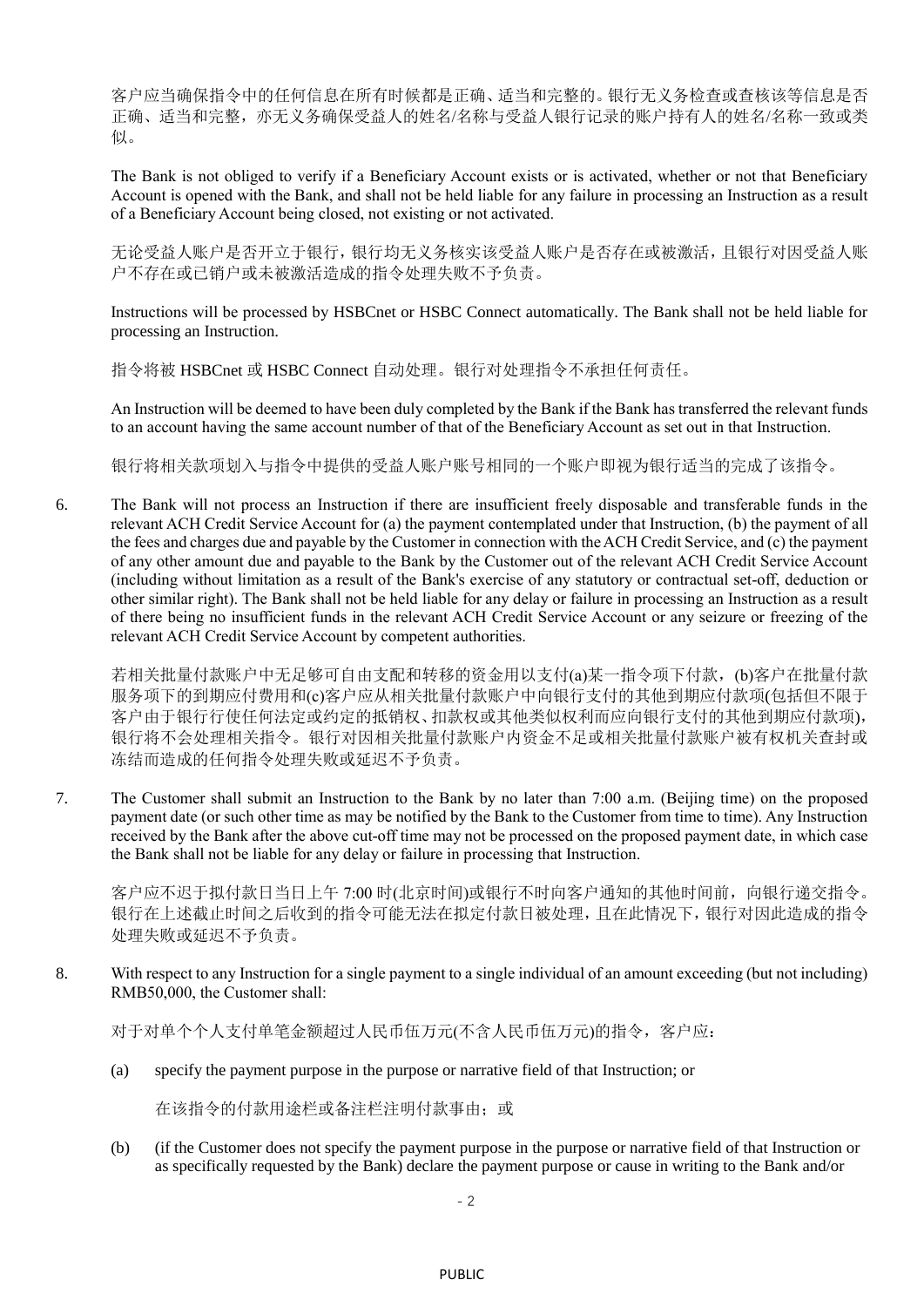客户应当确保指令中的任何信息在所有时候都是正确、适当和完整的。银行无义务检查或查核该等信息是否 正确、适当和完整,亦无义务确保受益人的姓名/名称与受益人银行记录的账户持有人的姓名/名称一致或类 似。

The Bank is not obliged to verify if a Beneficiary Account exists or is activated, whether or not that Beneficiary Account is opened with the Bank, and shall not be held liable for any failure in processing an Instruction as a result of a Beneficiary Account being closed, not existing or not activated.

无论受益人账户是否开立于银行,银行均无义务核实该受益人账户是否存在或被激活,且银行对因受益人账 户不存在或已销户或未被激活造成的指令处理失败不予负责。

Instructions will be processed by HSBCnet or HSBC Connect automatically. The Bank shall not be held liable for processing an Instruction.

指令将被 HSBCnet 或 HSBC Connect 自动处理。银行对处理指令不承担任何责任。

An Instruction will be deemed to have been duly completed by the Bank if the Bank has transferred the relevant funds to an account having the same account number of that of the Beneficiary Account as set out in that Instruction.

银行将相关款项划入与指令中提供的受益人账户账号相同的一个账户即视为银行适当的完成了该指令。

6. The Bank will not process an Instruction if there are insufficient freely disposable and transferable funds in the relevant ACH Credit Service Account for (a) the payment contemplated under that Instruction, (b) the payment of all the fees and charges due and payable by the Customer in connection with the ACH Credit Service, and (c) the payment of any other amount due and payable to the Bank by the Customer out of the relevant ACH Credit Service Account (including without limitation as a result of the Bank's exercise of any statutory or contractual set-off, deduction or other similar right). The Bank shall not be held liable for any delay or failure in processing an Instruction as a result of there being no insufficient funds in the relevant ACH Credit Service Account or any seizure or freezing of the relevant ACH Credit Service Account by competent authorities.

若相关批量付款账户中无足够可自由支配和转移的资金用以支付(a)某一指令项下付款,(b)客户在批量付款 服务项下的到期应付费用和(c)客户应从相关批量付款账户中向银行支付的其他到期应付款项(包括但不限于 客户由于银行行使任何法定或约定的抵销权、扣款权或其他类似权利而应向银行支付的其他到期应付款项), 银行将不会处理相关指令。银行对因相关批量付款账户内资金不足或相关批量付款账户被有权机关查封或 冻结而造成的任何指令处理失败或延迟不予负责。

7. The Customer shall submit an Instruction to the Bank by no later than 7:00 a.m. (Beijing time) on the proposed payment date (or such other time as may be notified by the Bank to the Customer from time to time). Any Instruction received by the Bank after the above cut-off time may not be processed on the proposed payment date, in which case the Bank shall not be liable for any delay or failure in processing that Instruction.

客户应不迟于拟付款日当日上午 7:00 时(北京时间)或银行不时向客户通知的其他时间前,向银行递交指令。 银行在上述截止时间之后收到的指令可能无法在拟定付款日被处理,且在此情况下,银行对因此造成的指令 处理失败或延迟不予负责。

8. With respect to any Instruction for a single payment to a single individual of an amount exceeding (but not including) RMB50,000, the Customer shall:

对于对单个个人支付单笔金额超过人民币伍万元(不含人民币伍万元)的指令,客户应:

(a) specify the payment purpose in the purpose or narrative field of that Instruction; or

在该指令的付款用途栏或备注栏注明付款事由;或

(b) (if the Customer does not specify the payment purpose in the purpose or narrative field of that Instruction or as specifically requested by the Bank) declare the payment purpose or cause in writing to the Bank and/or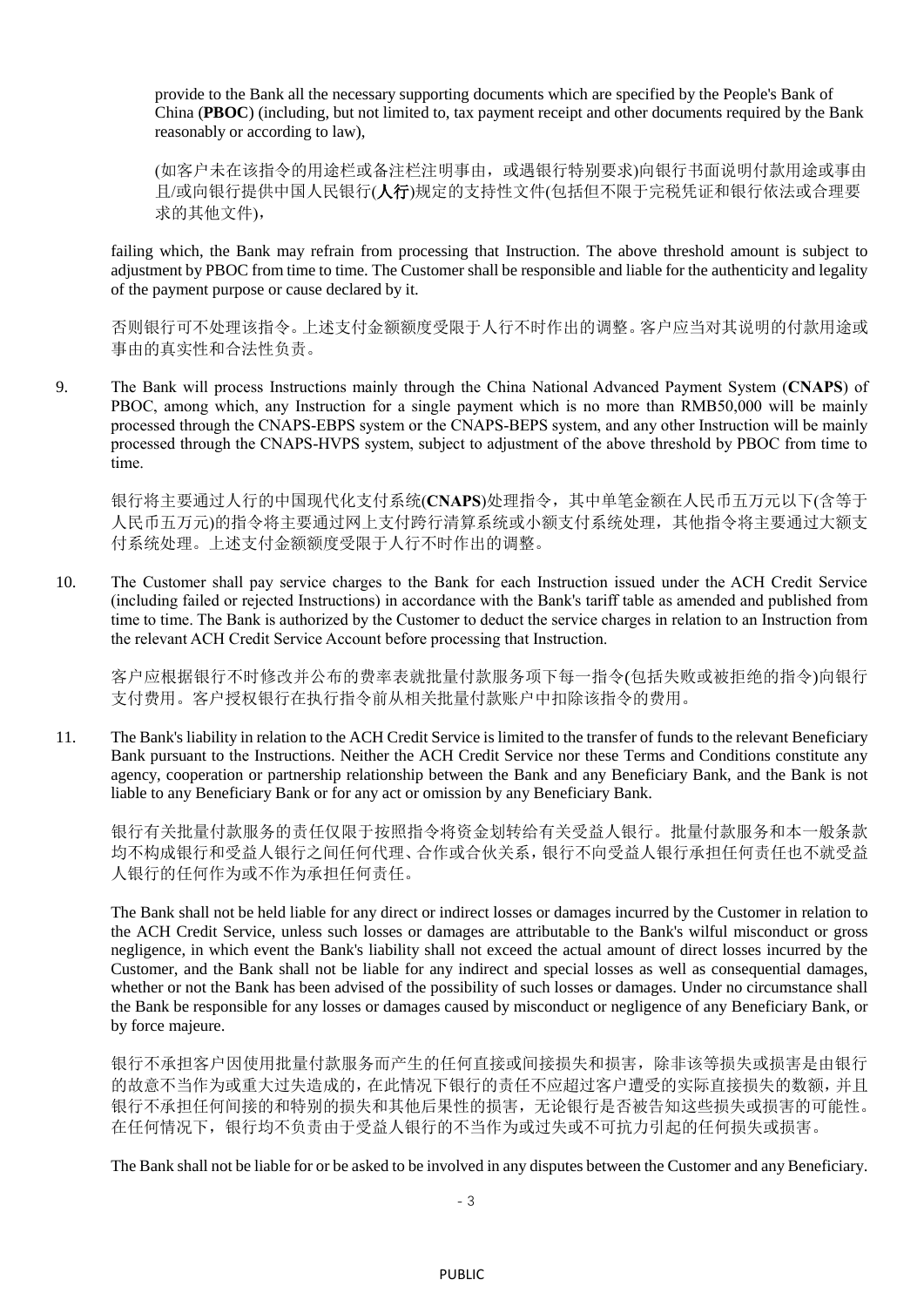provide to the Bank all the necessary supporting documents which are specified by the People's Bank of China (**PBOC**) (including, but not limited to, tax payment receipt and other documents required by the Bank reasonably or according to law),

(如客户未在该指令的用途栏或备注栏注明事由,或遇银行特别要求)向银行书面说明付款用途或事由 且/或向银行提供中国人民银行(人行)规定的支持性文件(包括但不限于完税凭证和银行依法或合理要 求的其他文件),

failing which, the Bank may refrain from processing that Instruction. The above threshold amount is subject to adjustment by PBOC from time to time. The Customer shall be responsible and liable for the authenticity and legality of the payment purpose or cause declared by it.

否则银行可不处理该指令。上述支付金额额度受限于人行不时作出的调整。客户应当对其说明的付款用途或 事由的真实性和合法性负责。

9. The Bank will process Instructions mainly through the China National Advanced Payment System (**CNAPS**) of PBOC, among which, any Instruction for a single payment which is no more than RMB50,000 will be mainly processed through the CNAPS-EBPS system or the CNAPS-BEPS system, and any other Instruction will be mainly processed through the CNAPS-HVPS system, subject to adjustment of the above threshold by PBOC from time to time.

银行将主要通过人行的中国现代化支付系统(**CNAPS**)处理指令,其中单笔金额在人民币五万元以下(含等于 人民币五万元)的指令将主要通过网上支付跨行清算系统或小额支付系统处理,其他指令将主要通过大额支 付系统处理。上述支付金额额度受限于人行不时作出的调整。

10. The Customer shall pay service charges to the Bank for each Instruction issued under the ACH Credit Service (including failed or rejected Instructions) in accordance with the Bank's tariff table as amended and published from time to time. The Bank is authorized by the Customer to deduct the service charges in relation to an Instruction from the relevant ACH Credit Service Account before processing that Instruction.

客户应根据银行不时修改并公布的费率表就批量付款服务项下每一指令(包括失败或被拒绝的指令)向银行 支付费用。客户授权银行在执行指令前从相关批量付款账户中扣除该指令的费用。

11. The Bank's liability in relation to the ACH Credit Service is limited to the transfer of funds to the relevant Beneficiary Bank pursuant to the Instructions. Neither the ACH Credit Service nor these Terms and Conditions constitute any agency, cooperation or partnership relationship between the Bank and any Beneficiary Bank, and the Bank is not liable to any Beneficiary Bank or for any act or omission by any Beneficiary Bank.

银行有关批量付款服务的责任仅限于按照指令将资金划转给有关受益人银行。批量付款服务和本一般条款 均不构成银行和受益人银行之间任何代理、合作或合伙关系,银行不向受益人银行承担任何责任也不就受益 人银行的任何作为或不作为承担任何责任。

The Bank shall not be held liable for any direct or indirect losses or damages incurred by the Customer in relation to the ACH Credit Service, unless such losses or damages are attributable to the Bank's wilful misconduct or gross negligence, in which event the Bank's liability shall not exceed the actual amount of direct losses incurred by the Customer, and the Bank shall not be liable for any indirect and special losses as well as consequential damages, whether or not the Bank has been advised of the possibility of such losses or damages. Under no circumstance shall the Bank be responsible for any losses or damages caused by misconduct or negligence of any Beneficiary Bank, or by force majeure.

银行不承担客户因使用批量付款服务而产生的任何直接或间接损失和损害,除非该等损失或损害是由银行 的故意不当作为或重大过失造成的,在此情况下银行的责任不应超过客户遭受的实际直接损失的数额,并且 银行不承担任何间接的和特别的损失和其他后果性的损害,无论银行是否被告知这些损失或损害的可能性。 在任何情况下,银行均不负责由于受益人银行的不当作为或过失或不可抗力引起的任何损失或损害。

The Bank shall not be liable for or be asked to be involved in any disputes between the Customer and any Beneficiary.

- 3